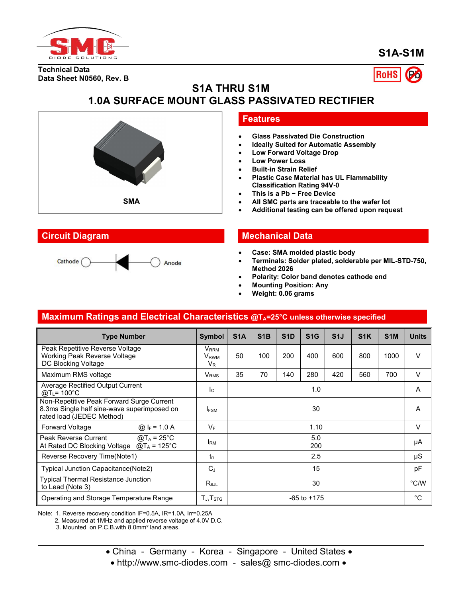

**S1A-S1M**

**Technical Data Data Sheet N0560, Rev. B**



# **S1A THRU S1M 1.0A SURFACE MOUNT GLASS PASSIVATED RECTIFIER**



#### **Features**

- **Glass Passivated Die Construction**
- **Ideally Suited for Automatic Assembly**
- **Low Forward Voltage Drop**
- **Low Power Loss**
- **Built-in Strain Relief**
- **Plastic Case Material has UL Flammability Classification Rating 94V-0**
- **This is a Pb − Free Device**
- **All SMC parts are traceable to the wafer lot**
- **Additional testing can be offered upon request**

### **Circuit Diagram Mechanical Data**

- **Case: SMA molded plastic body**
- **Terminals: Solder plated, solderable per MIL-STD-750, Method 2026**
- **Polarity: Color band denotes cathode end**
- **Mounting Position: Any**
- **Weight: 0.06 grams**

# **Maximum Ratings and Electrical Characteristics @TA=25°C unless otherwise specified**

| <b>Type Number</b>                                                                                                    | Symbol                                       | S <sub>1</sub> A | S1B | S <sub>1</sub> D | S1G           | S <sub>1</sub> | S <sub>1</sub> K | S <sub>1</sub> M | <b>Units</b> |
|-----------------------------------------------------------------------------------------------------------------------|----------------------------------------------|------------------|-----|------------------|---------------|----------------|------------------|------------------|--------------|
| Peak Repetitive Reverse Voltage<br>Working Peak Reverse Voltage<br>DC Blocking Voltage                                | VRRM<br>V <sub>RWM</sub><br>$V_{\mathsf{R}}$ | 50               | 100 | 200              | 400           | 600            | 800              | 1000             | $\vee$       |
| Maximum RMS voltage                                                                                                   | <b>V</b> <sub>RMS</sub>                      | 35               | 70  | 140              | 280           | 420            | 560              | 700              | V            |
| Average Rectified Output Current<br>$@T_{L} = 100°C$                                                                  | Ιo                                           | 1.0              |     |                  | A             |                |                  |                  |              |
| Non-Repetitive Peak Forward Surge Current<br>8.3ms Single half sine-wave superimposed on<br>rated load (JEDEC Method) | <b>IFSM</b>                                  | 30               |     |                  | A             |                |                  |                  |              |
| Forward Voltage<br>@ $I_F$ = 1.0 A                                                                                    | V <sub>F</sub>                               | 1.10             |     |                  | V             |                |                  |                  |              |
| Peak Reverse Current<br>$@T_A = 25^\circ C$<br>At Rated DC Blocking Voltage $@T_A = 125^\circ C$                      | <b>IRM</b>                                   | 5.0<br>200       |     |                  | μA            |                |                  |                  |              |
| Reverse Recovery Time(Note1)                                                                                          | $t_{rr}$                                     | 2.5              |     |                  | $\mu S$       |                |                  |                  |              |
| Typical Junction Capacitance(Note2)                                                                                   | $C_J$                                        | 15               |     |                  | pF            |                |                  |                  |              |
| Typical Thermal Resistance Junction<br>to Lead (Note 3)                                                               | $R_{\theta JL}$                              | 30               |     |                  | $\degree$ C/W |                |                  |                  |              |
| Operating and Storage Temperature Range                                                                               | $T_{J}$ , $T_{STG}$                          | $-65$ to $+175$  |     |                  | $^{\circ}C$   |                |                  |                  |              |

Note: 1. Reverse recovery condition IF=0.5A, IR=1.0A, Irr=0.25A

2. Measured at 1MHz and applied reverse voltage of 4.0V D.C.

3. Mounted on P.C.B.with 8.0mm² land areas.

• China - Germany - Korea - Singapore - United States •

• http://www.smc-diodes.com - sales@ smc-diodes.com •

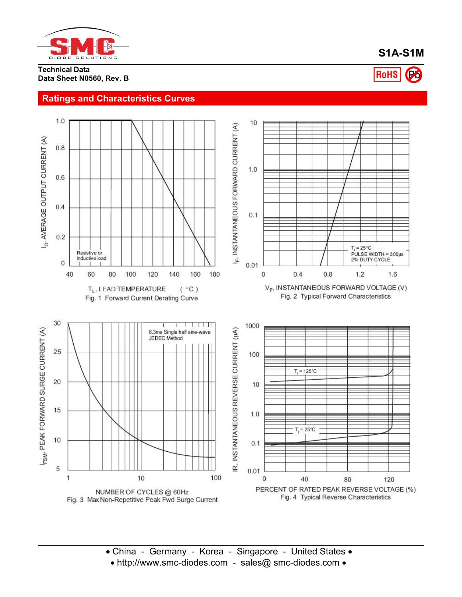

**Technical Data Data Sheet N0560, Rev. B**

#### **Ratings and Characteristics Curves**



# **S1A-S1M**

**RoHS**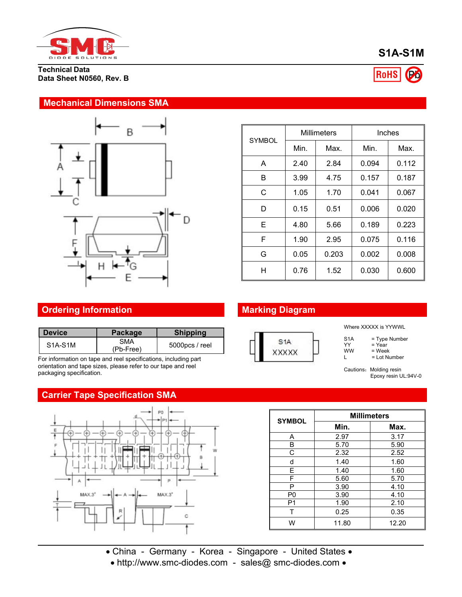

**Technical Data Data Sheet N0560, Rev. B**



**RoHS** 

## **Mechanical Dimensions SMA**



|   | <b>Millimeters</b><br><b>SYMBOL</b><br>Min.<br>Max. |       | <b>Inches</b> |       |  |
|---|-----------------------------------------------------|-------|---------------|-------|--|
|   |                                                     |       | Min.          | Max.  |  |
| A | 2.40                                                | 2.84  | 0.094         | 0.112 |  |
| B | 3.99                                                | 4.75  | 0.157         | 0.187 |  |
| C | 1.05                                                | 1.70  | 0.041         | 0.067 |  |
| D | 0.15                                                | 0.51  | 0.006         | 0.020 |  |
| E | 4.80                                                | 5.66  | 0.189         | 0.223 |  |
| F | 1.90                                                | 2.95  | 0.075         | 0.116 |  |
| G | 0.05                                                | 0.203 | 0.002         | 0.008 |  |
| H | 0.76                                                | 1.52  | 0.030         | 0.600 |  |

# **Ordering Information Marking Diagram**

| l Device                          | Package                 | <b>Shipping</b> |  |
|-----------------------------------|-------------------------|-----------------|--|
| S <sub>1</sub> A-S <sub>1</sub> M | <b>SMA</b><br>(Pb-Free) | 5000pcs / reel  |  |

For information on tape and reel specifications, including part orientation and tape sizes, please refer to our tape and reel packaging specification.

## **Carrier Tape Specification SMA**



| XXXXX |  |
|-------|--|
|       |  |

Where XXXXX is YYWWL

 $S1A$  = Type Number<br>YY = Year

YY = Year  $WW = Week$ 

L = Lot Number

Cautions: Molding resin Epoxy resin UL:94V-0

| <b>SYMBOL</b>  | <b>Millimeters</b> |       |  |  |  |  |
|----------------|--------------------|-------|--|--|--|--|
|                | Min.               | Max.  |  |  |  |  |
| Α              | 2.97               | 3.17  |  |  |  |  |
| B              | 5.70               | 5.90  |  |  |  |  |
| C              | 2.32               | 2.52  |  |  |  |  |
| d              | 1.40               | 1.60  |  |  |  |  |
| E              | 1.40               | 1.60  |  |  |  |  |
| F              | 5.60               | 5.70  |  |  |  |  |
| P              | 3.90               | 4.10  |  |  |  |  |
| P <sub>0</sub> | 3.90               | 4.10  |  |  |  |  |
| P <sub>1</sub> | 1.90               | 2.10  |  |  |  |  |
| т              | 0.25               | 0.35  |  |  |  |  |
| W              | 11.80              | 12.20 |  |  |  |  |

- China Germany Korea Singapore United States •
- http://www.smc-diodes.com sales@ smc-diodes.com •